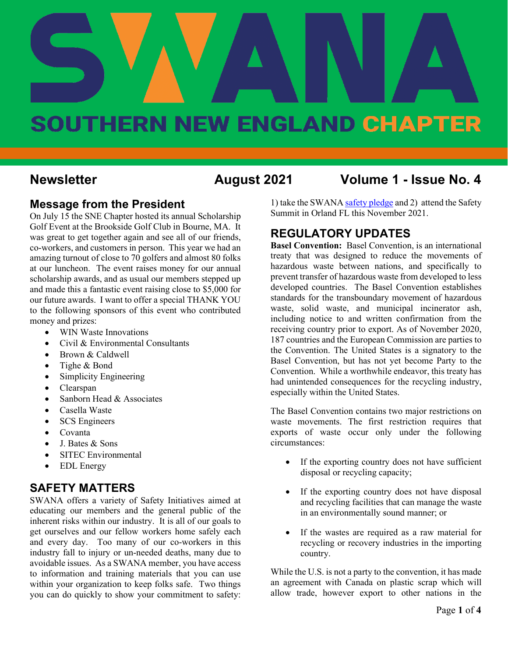# **August 2021 Vol. 1 - Issue No.4**

# SOUTHERN NEW ENGLAND CHAPTER

#### **Newsletter August 2021 Volume 1 - Issue No. 4**

#### **Message from the President**

On July 15 the SNE Chapter hosted its annual Scholarship Golf Event at the Brookside Golf Club in Bourne, MA. It was great to get together again and see all of our friends, co-workers, and customers in person. This year we had an amazing turnout of close to 70 golfers and almost 80 folks at our luncheon. The event raises money for our annual scholarship awards, and as usual our members stepped up and made this a fantastic event raising close to \$5,000 for our future awards. I want to offer a special THANK YOU to the following sponsors of this event who contributed money and prizes:

- WIN Waste Innovations
- Civil & Environmental Consultants
- Brown & Caldwell
- Tighe & Bond
- Simplicity Engineering
- Clearspan
- Sanborn Head & Associates
- Casella Waste
- **SCS** Engineers
- Covanta
- J. Bates & Sons
- SITEC Environmental
- EDL Energy

#### **SAFETY MATTERS**

SWANA offers a variety of Safety Initiatives aimed at educating our members and the general public of the inherent risks within our industry. It is all of our goals to get ourselves and our fellow workers home safely each and every day. Too many of our co-workers in this industry fall to injury or un-needed deaths, many due to avoidable issues. As a SWANA member, you have access to information and training materials that you can use within your organization to keep folks safe. Two things you can do quickly to show your commitment to safety: 1) take the SWAN[A safety pledge](https://swana.org/initiatives/safety/safety-pledge) and 2) attend the Safety Summit in Orland FL this November 2021.

#### **REGULATORY UPDATES**

**Basel Convention:** Basel Convention, is an international treaty that was designed to reduce the movements of hazardous waste between nations, and specifically to prevent transfer of hazardous waste from developed to less developed countries. The Basel Convention establishes standards for the transboundary movement of hazardous waste, solid waste, and municipal incinerator ash, including notice to and written confirmation from the receiving country prior to export. As of November 2020, 187 countries and the European Commission are parties to the Convention. The United States is a signatory to the Basel Convention, but has not yet become Party to the Convention. While a worthwhile endeavor, this treaty has had unintended consequences for the recycling industry, especially within the United States.

The Basel Convention contains two major restrictions on waste movements. The first restriction requires that exports of waste occur only under the following circumstances:

- If the exporting country does not have sufficient disposal or recycling capacity;
- If the exporting country does not have disposal and recycling facilities that can manage the waste in an environmentally sound manner; or
- If the wastes are required as a raw material for recycling or recovery industries in the importing country.

While the U.S. is not a party to the convention, it has made an agreement with Canada on plastic scrap which will allow trade, however export to other nations in the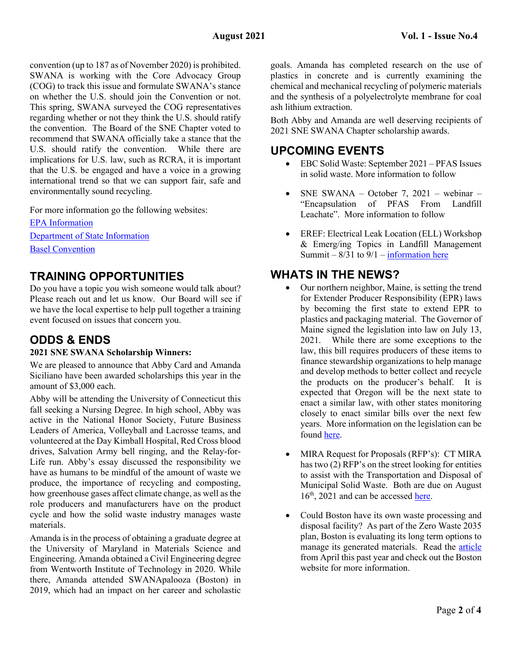convention (up to 187 as of November 2020) is prohibited. SWANA is working with the Core Advocacy Group (COG) to track this issue and formulate SWANA's stance on whether the U.S. should join the Convention or not. This spring, SWANA surveyed the COG representatives regarding whether or not they think the U.S. should ratify the convention. The Board of the SNE Chapter voted to recommend that SWANA officially take a stance that the U.S. should ratify the convention. While there are implications for U.S. law, such as RCRA, it is important that the U.S. be engaged and have a voice in a growing international trend so that we can support fair, safe and environmentally sound recycling.

For more information go the following websites:

[EPA Information](https://www.epa.gov/hwgenerators/international-agreements-transboundary-shipments-hazardous-waste) [Department of State Information](https://www.state.gov/key-topics-office-of-environmental-quality-and-transboundary-issues/basel-convention-on-hazardous-wastes/) [Basel Convention](http://www.basel.int/TheConvention/Overview/tabid/1271/Default.aspx)

#### **TRAINING OPPORTUNITIES**

Do you have a topic you wish someone would talk about? Please reach out and let us know. Our Board will see if we have the local expertise to help pull together a training event focused on issues that concern you.

#### **ODDS & ENDS**

#### **2021 SNE SWANA Scholarship Winners:**

We are pleased to announce that Abby Card and Amanda Siciliano have been awarded scholarships this year in the amount of \$3,000 each.

Abby will be attending the University of Connecticut this fall seeking a Nursing Degree. In high school, Abby was active in the National Honor Society, Future Business Leaders of America, Volleyball and Lacrosse teams, and volunteered at the Day Kimball Hospital, Red Cross blood drives, Salvation Army bell ringing, and the Relay-for-Life run. Abby's essay discussed the responsibility we have as humans to be mindful of the amount of waste we produce, the importance of recycling and composting, how greenhouse gases affect climate change, as well as the role producers and manufacturers have on the product cycle and how the solid waste industry manages waste materials.

Amanda is in the process of obtaining a graduate degree at the University of Maryland in Materials Science and Engineering. Amanda obtained a Civil Engineering degree from Wentworth Institute of Technology in 2020. While there, Amanda attended SWANApalooza (Boston) in 2019, which had an impact on her career and scholastic

goals. Amanda has completed research on the use of plastics in concrete and is currently examining the chemical and mechanical recycling of polymeric materials and the synthesis of a polyelectrolyte membrane for coal ash lithium extraction.

Both Abby and Amanda are well deserving recipients of 2021 SNE SWANA Chapter scholarship awards.

#### **UPCOMING EVENTS**

- EBC Solid Waste: September 2021 PFAS Issues in solid waste. More information to follow
- SNE SWANA October 7, 2021 webinar "Encapsulation of PFAS From Landfill Leachate". More information to follow
- EREF: Electrical Leak Location (ELL) Workshop & Emerg/ing Topics in Landfill Management Summit –  $8/31$  to  $9/1$  – [information here](https://2021erefsummit.givesmart.com/)

#### **WHATS IN THE NEWS?**

- Our northern neighbor, Maine, is setting the trend for Extender Producer Responsibility (EPR) laws by becoming the first state to extend EPR to plastics and packaging material. The Governor of Maine signed the legislation into law on July 13, 2021. While there are some exceptions to the law, this bill requires producers of these items to finance stewardship organizations to help manage and develop methods to better collect and recycle the products on the producer's behalf. It is expected that Oregon will be the next state to enact a similar law, with other states monitoring closely to enact similar bills over the next few years. More information on the legislation can be foun[d here.](https://legiscan.com/ME/bill/LD1541/2021)
- MIRA Request for Proposals (RFP's): CT MIRA has two (2) RFP's on the street looking for entities to assist with the Transportation and Disposal of Municipal Solid Waste. Both are due on August 16<sup>th</sup>, 2021 and can be accessed [here.](https://www.ctmira.org/business-links/current-bids-rfp-rfq/)
- Could Boston have its own waste processing and disposal facility? As part of the Zero Waste 2035 plan, Boston is evaluating its long term options to manage its generated materials. Read the [article](https://www.dotnews.com/2021/following-trail-your-trash-after-it-has-been-taken-bin) from April this past year and check out the Boston website for more information.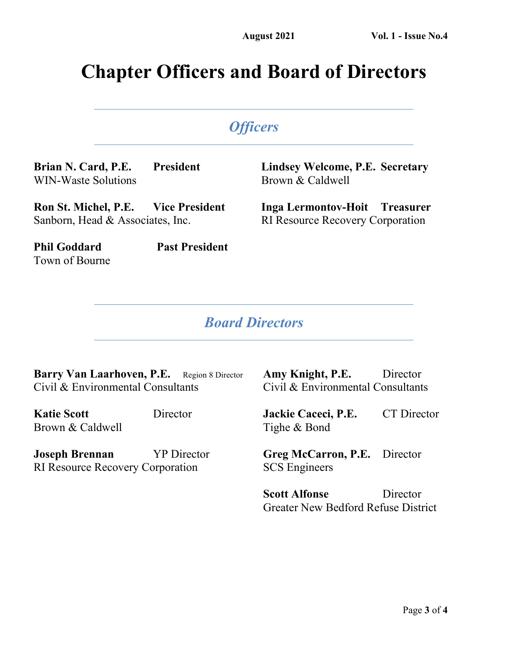## **Chapter Officers and Board of Directors**

## *Officers*

**Brian N. Card, P.E. President** WIN-Waste Solutions

**Lindsey Welcome, P.E. Secretary** Brown & Caldwell

**Ron St. Michel, P.E. Vice President** Sanborn, Head & Associates, Inc.

**Inga Lermontov-Hoit Treasurer** RI Resource Recovery Corporation

**Phil Goddard Past President** Town of Bourne

#### *Board Directors*

Barry Van Laarhoven, P.E. Region 8 Director Civil & Environmental Consultants

**Katie Scott** Director Brown & Caldwell

**Joseph Brennan** YP Director RI Resource Recovery Corporation

**Amy Knight, P.E.** Director Civil & Environmental Consultants

**Jackie Caceci, P.E.** CT Director Tighe & Bond

**Greg McCarron, P.E.** Director SCS Engineers

**Scott Alfonse** Director Greater New Bedford Refuse District